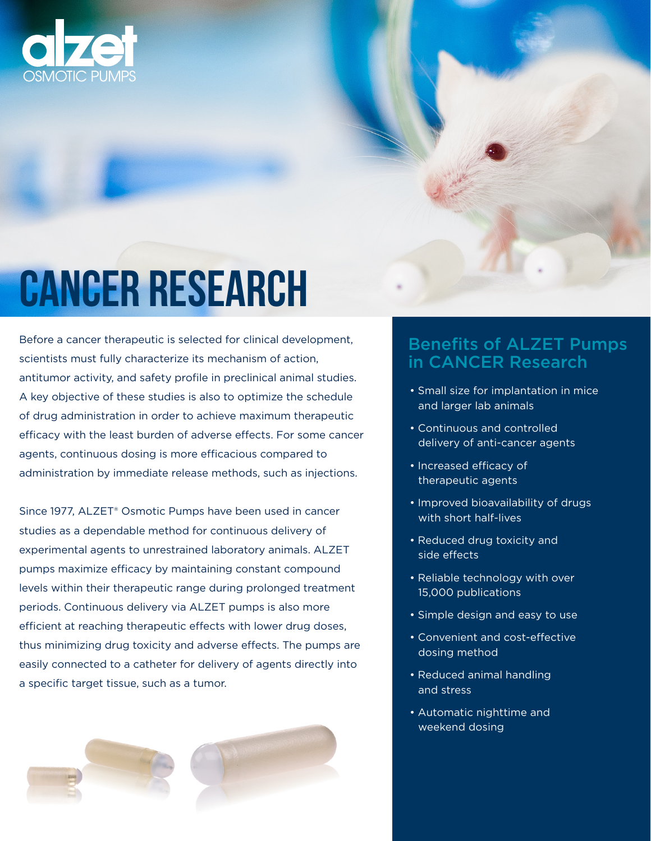# **dzet**

## **CANCER RESEARCH**

Before a cancer therapeutic is selected for clinical development, scientists must fully characterize its mechanism of action, antitumor activity, and safety profile in preclinical animal studies. A key objective of these studies is also to optimize the schedule of drug administration in order to achieve maximum therapeutic efficacy with the least burden of adverse effects. For some cancer agents, continuous dosing is more efficacious compared to administration by immediate release methods, such as injections.

Since 1977, ALZET® Osmotic Pumps have been used in cancer studies as a dependable method for continuous delivery of experimental agents to unrestrained laboratory animals. ALZET pumps maximize efficacy by maintaining constant compound levels within their therapeutic range during prolonged treatment periods. Continuous delivery via ALZET pumps is also more efficient at reaching therapeutic effects with lower drug doses, thus minimizing drug toxicity and adverse effects. The pumps are easily connected to a catheter for delivery of agents directly into a specific target tissue, such as a tumor.



### Benefits of ALZET Pumps in CANCER Research

- Small size for implantation in mice and larger lab animals
- Continuous and controlled delivery of anti-cancer agents
- Increased efficacy of therapeutic agents
- Improved bioavailability of drugs with short half-lives
- Reduced drug toxicity and side effects
- Reliable technology with over 15,000 publications
- Simple design and easy to use
- Convenient and cost-effective dosing method
- Reduced animal handling and stress
- Automatic nighttime and weekend dosing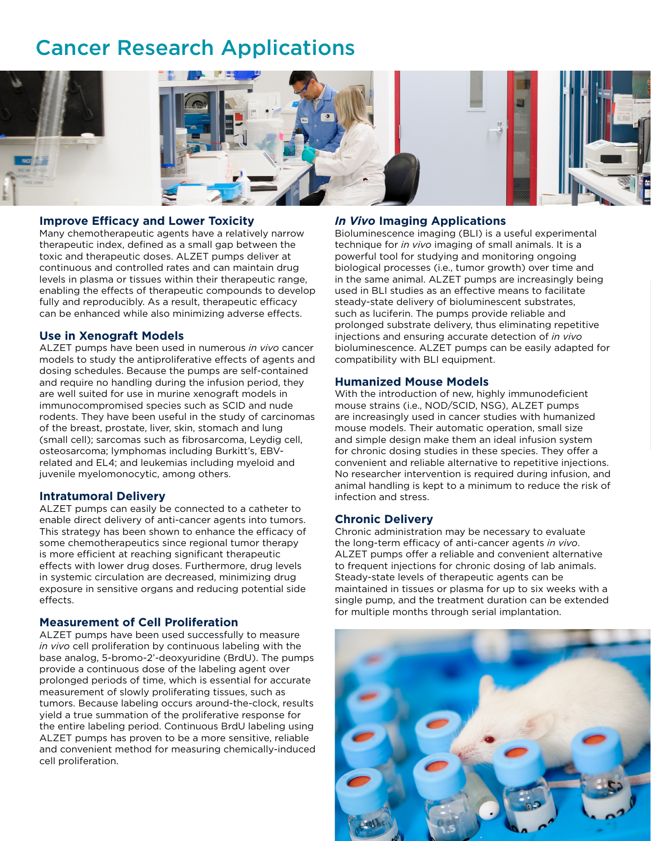## Cancer Research Applications



#### **Improve Efficacy and Lower Toxicity**

Many chemotherapeutic agents have a relatively narrow therapeutic index, defined as a small gap between the toxic and therapeutic doses. ALZET pumps deliver at continuous and controlled rates and can maintain drug levels in plasma or tissues within their therapeutic range, enabling the effects of therapeutic compounds to develop fully and reproducibly. As a result, therapeutic efficacy can be enhanced while also minimizing adverse effects.

#### **Use in Xenograft Models**

ی

ALZET pumps have been used in numerous *in vivo* cancer models to study the antiproliferative effects of agents and dosing schedules. Because the pumps are self-contained and require no handling during the infusion period, they are well suited for use in murine xenograft models in immunocompromised species such as SCID and nude rodents. They have been useful in the study of carcinomas of the breast, prostate, liver, skin, stomach and lung (small cell); sarcomas such as fibrosarcoma, Leydig cell, osteosarcoma; lymphomas including Burkitt's, EBVrelated and EL4; and leukemias including myeloid and juvenile myelomonocytic, among others.

#### **Intratumoral Delivery**

ALZET pumps can easily be connected to a catheter to enable direct delivery of anti-cancer agents into tumors. This strategy has been shown to enhance the efficacy of some chemotherapeutics since regional tumor therapy is more efficient at reaching significant therapeutic effects with lower drug doses. Furthermore, drug levels in systemic circulation are decreased, minimizing drug exposure in sensitive organs and reducing potential side effects.

#### **Measurement of Cell Proliferation**

ALZET pumps have been used successfully to measure *in vivo* cell proliferation by continuous labeling with the base analog, 5-bromo-2'-deoxyuridine (BrdU). The pumps provide a continuous dose of the labeling agent over prolonged periods of time, which is essential for accurate measurement of slowly proliferating tissues, such as tumors. Because labeling occurs around-the-clock, results yield a true summation of the proliferative response for the entire labeling period. Continuous BrdU labeling using ALZET pumps has proven to be a more sensitive, reliable and convenient method for measuring chemically-induced cell proliferation.

#### *In Vivo* **Imaging Applications**

Bioluminescence imaging (BLI) is a useful experimental technique for *in vivo* imaging of small animals. It is a powerful tool for studying and monitoring ongoing biological processes (i.e., tumor growth) over time and in the same animal. ALZET pumps are increasingly being used in BLI studies as an effective means to facilitate steady-state delivery of bioluminescent substrates, such as luciferin. The pumps provide reliable and prolonged substrate delivery, thus eliminating repetitive injections and ensuring accurate detection of *in vivo* bioluminescence. ALZET pumps can be easily adapted for compatibility with BLI equipment.

#### **Humanized Mouse Models**

With the introduction of new, highly immunodeficient mouse strains (i.e., NOD/SCID, NSG), ALZET pumps are increasingly used in cancer studies with humanized mouse models. Their automatic operation, small size and simple design make them an ideal infusion system for chronic dosing studies in these species. They offer a convenient and reliable alternative to repetitive injections. No researcher intervention is required during infusion, and animal handling is kept to a minimum to reduce the risk of infection and stress.

#### **Chronic Delivery**

Chronic administration may be necessary to evaluate the long-term efficacy of anti-cancer agents *in vivo*. ALZET pumps offer a reliable and convenient alternative to frequent injections for chronic dosing of lab animals. Steady-state levels of therapeutic agents can be maintained in tissues or plasma for up to six weeks with a single pump, and the treatment duration can be extended for multiple months through serial implantation.

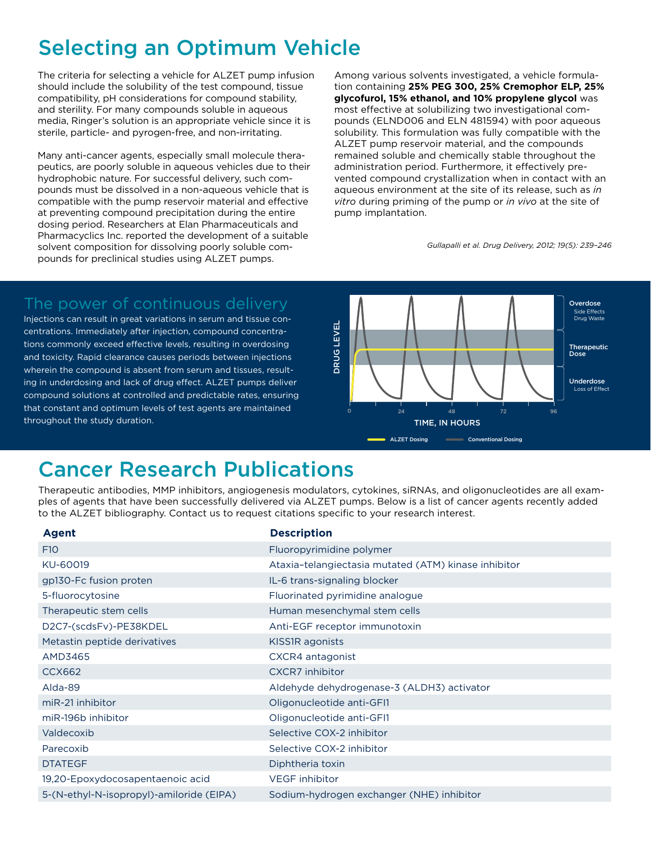## Selecting an Optimum Vehicle

The criteria for selecting a vehicle for ALZET pump infusion should include the solubility of the test compound, tissue compatibility, pH considerations for compound stability, and sterility. For many compounds soluble in aqueous media, Ringer's solution is an appropriate vehicle since it is sterile, particle- and pyrogen-free, and non-irritating.

Many anti-cancer agents, especially small molecule therapeutics, are poorly soluble in aqueous vehicles due to their hydrophobic nature. For successful delivery, such compounds must be dissolved in a non-aqueous vehicle that is compatible with the pump reservoir material and effective at preventing compound precipitation during the entire dosing period. Researchers at Elan Pharmaceuticals and Pharmacyclics Inc. reported the development of a suitable solvent composition for dissolving poorly soluble compounds for preclinical studies using ALZET pumps.

Among various solvents investigated, a vehicle formulation containing **25% PEG 300, 25% Cremophor ELP, 25% glycofurol, 15% ethanol, and 10% propylene glycol** was most effective at solubilizing two investigational compounds (ELND006 and ELN 481594) with poor aqueous solubility. This formulation was fully compatible with the ALZET pump reservoir material, and the compounds remained soluble and chemically stable throughout the administration period. Furthermore, it effectively prevented compound crystallization when in contact with an aqueous environment at the site of its release, such as *in vitro* during priming of the pump or *in vivo* at the site of pump implantation.

*Gullapalli et al. Drug Delivery, 2012; 19(5): 239–246*

### The power of continuous delivery

Injections can result in great variations in serum and tissue concentrations. Immediately after injection, compound concentrations commonly exceed effective levels, resulting in overdosing and toxicity. Rapid clearance causes periods between injections wherein the compound is absent from serum and tissues, resulting in underdosing and lack of drug effect. ALZET pumps deliver compound solutions at controlled and predictable rates, ensuring that constant and optimum levels of test agents are maintained throughout the study duration.



## Cancer Research Publications

Therapeutic antibodies, MMP inhibitors, angiogenesis modulators, cytokines, siRNAs, and oligonucleotides are all examples of agents that have been successfully delivered via ALZET pumps. Below is a list of cancer agents recently added to the ALZET bibliography. Contact us to request citations specific to your research interest.

| <b>Agent</b>                             | <b>Description</b>                                   |
|------------------------------------------|------------------------------------------------------|
| F <sub>10</sub>                          | Fluoropyrimidine polymer                             |
| KU-60019                                 | Ataxia-telangiectasia mutated (ATM) kinase inhibitor |
| gp130-Fc fusion proten                   | IL-6 trans-signaling blocker                         |
| 5-fluorocytosine                         | Fluorinated pyrimidine analogue                      |
| Therapeutic stem cells                   | Human mesenchymal stem cells                         |
| D2C7-(scdsFv)-PE38KDEL                   | Anti-EGF receptor immunotoxin                        |
| Metastin peptide derivatives             | KISS1R agonists                                      |
| AMD3465                                  | CXCR4 antagonist                                     |
| <b>CCX662</b>                            | <b>CXCR7</b> inhibitor                               |
| Alda-89                                  | Aldehyde dehydrogenase-3 (ALDH3) activator           |
| miR-21 inhibitor                         | Oligonucleotide anti-GFI1                            |
| miR-196b inhibitor                       | Oligonucleotide anti-GFI1                            |
| Valdecoxib                               | Selective COX-2 inhibitor                            |
| Parecoxib                                | Selective COX-2 inhibitor                            |
| <b>DTATEGF</b>                           | Diphtheria toxin                                     |
| 19,20-Epoxydocosapentaenoic acid         | <b>VEGF</b> inhibitor                                |
| 5-(N-ethyl-N-isopropyl)-amiloride (EIPA) | Sodium-hydrogen exchanger (NHE) inhibitor            |